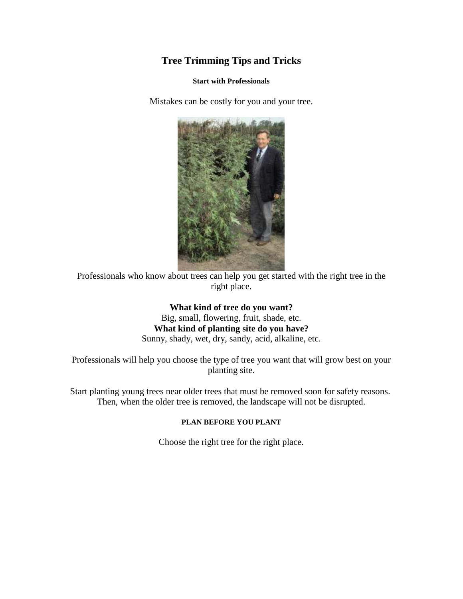# **Tree Trimming Tips and Tricks**

#### **Start with Professionals**

Mistakes can be costly for you and your tree.



Professionals who know about trees can help you get started with the right tree in the right place.

> **What kind of tree do you want?**  Big, small, flowering, fruit, shade, etc. **What kind of planting site do you have?**

Sunny, shady, wet, dry, sandy, acid, alkaline, etc.

Professionals will help you choose the type of tree you want that will grow best on your planting site.

Start planting young trees near older trees that must be removed soon for safety reasons. Then, when the older tree is removed, the landscape will not be disrupted.

### **PLAN BEFORE YOU PLANT**

Choose the right tree for the right place.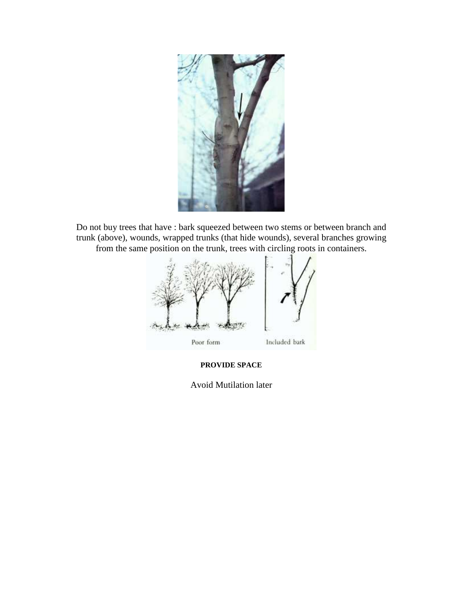

Do not buy trees that have : bark squeezed between two stems or between branch and trunk (above), wounds, wrapped trunks (that hide wounds), several branches growing from the same position on the trunk, trees with circling roots in containers.



**PROVIDE SPACE** 

Avoid Mutilation later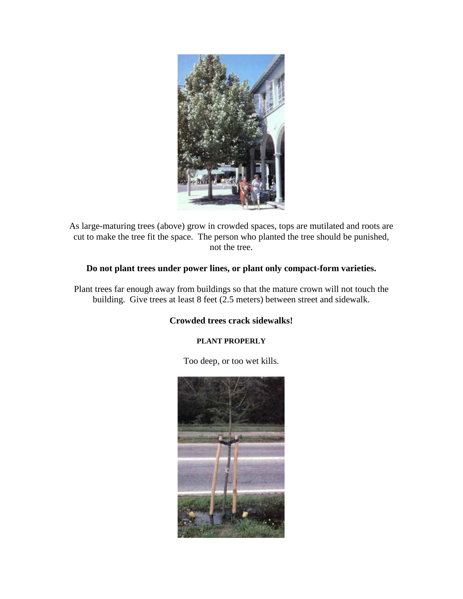

As large-maturing trees (above) grow in crowded spaces, tops are mutilated and roots are cut to make the tree fit the space. The person who planted the tree should be punished, not the tree.

## **Do not plant trees under power lines, or plant only compact-form varieties.**

Plant trees far enough away from buildings so that the mature crown will not touch the building. Give trees at least 8 feet (2.5 meters) between street and sidewalk.

## **Crowded trees crack sidewalks!**

### **PLANT PROPERLY**

Too deep, or too wet kills.

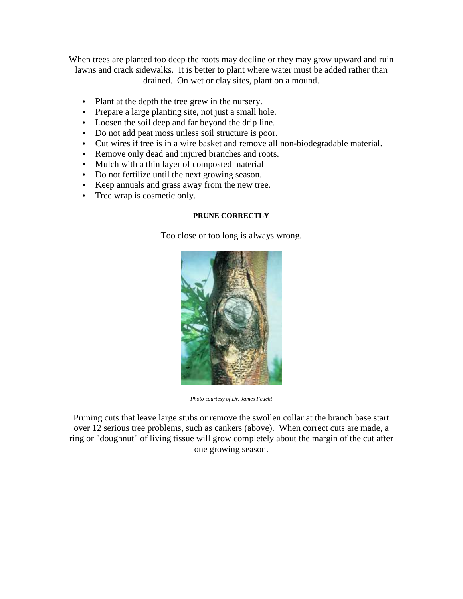When trees are planted too deep the roots may decline or they may grow upward and ruin lawns and crack sidewalks. It is better to plant where water must be added rather than drained. On wet or clay sites, plant on a mound.

- Plant at the depth the tree grew in the nursery.
- Prepare a large planting site, not just a small hole.
- Loosen the soil deep and far beyond the drip line.
- Do not add peat moss unless soil structure is poor.
- Cut wires if tree is in a wire basket and remove all non-biodegradable material.
- Remove only dead and injured branches and roots.
- Mulch with a thin layer of composted material
- Do not fertilize until the next growing season.
- Keep annuals and grass away from the new tree.
- Tree wrap is cosmetic only.

### **PRUNE CORRECTLY**

Too close or too long is always wrong.



*Photo courtesy of Dr. James Feucht*

Pruning cuts that leave large stubs or remove the swollen collar at the branch base start over 12 serious tree problems, such as cankers (above). When correct cuts are made, a ring or "doughnut" of living tissue will grow completely about the margin of the cut after one growing season.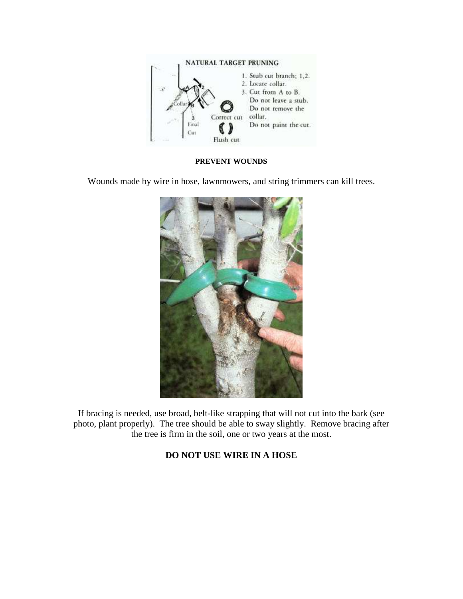

#### **PREVENT WOUNDS**

Wounds made by wire in hose, lawnmowers, and string trimmers can kill trees.



If bracing is needed, use broad, belt-like strapping that will not cut into the bark (see photo, plant properly). The tree should be able to sway slightly. Remove bracing after the tree is firm in the soil, one or two years at the most.

## **DO NOT USE WIRE IN A HOSE**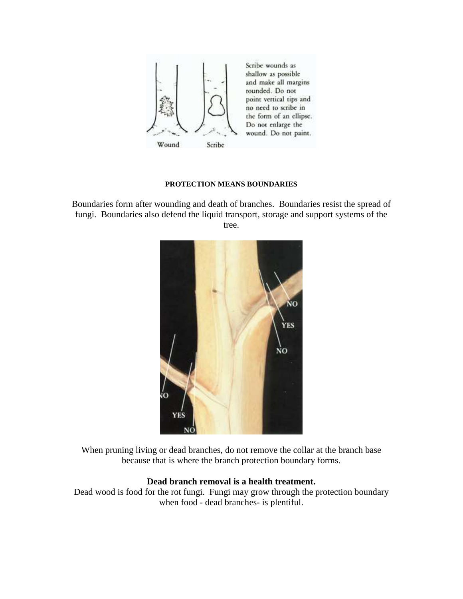

#### **PROTECTION MEANS BOUNDARIES**

Boundaries form after wounding and death of branches. Boundaries resist the spread of fungi. Boundaries also defend the liquid transport, storage and support systems of the tree.



When pruning living or dead branches, do not remove the collar at the branch base because that is where the branch protection boundary forms.

### **Dead branch removal is a health treatment.**

Dead wood is food for the rot fungi. Fungi may grow through the protection boundary when food - dead branches- is plentiful.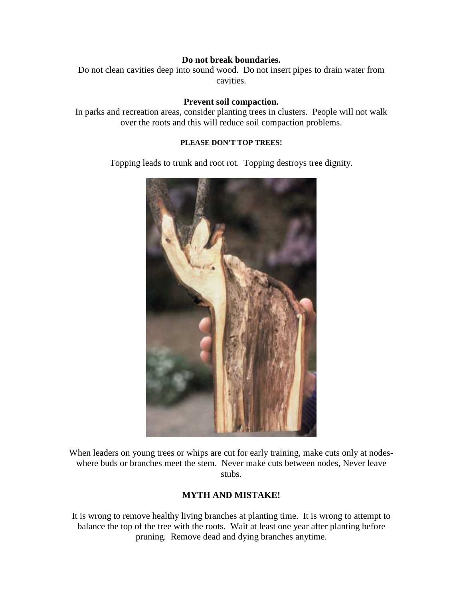### **Do not break boundaries.**

Do not clean cavities deep into sound wood. Do not insert pipes to drain water from cavities.

### **Prevent soil compaction.**

In parks and recreation areas, consider planting trees in clusters. People will not walk over the roots and this will reduce soil compaction problems.

### **PLEASE DON'T TOP TREES!**

Topping leads to trunk and root rot. Topping destroys tree dignity.



When leaders on young trees or whips are cut for early training, make cuts only at nodeswhere buds or branches meet the stem. Never make cuts between nodes, Never leave stubs.

## **MYTH AND MISTAKE!**

It is wrong to remove healthy living branches at planting time. It is wrong to attempt to balance the top of the tree with the roots. Wait at least one year after planting before pruning. Remove dead and dying branches anytime.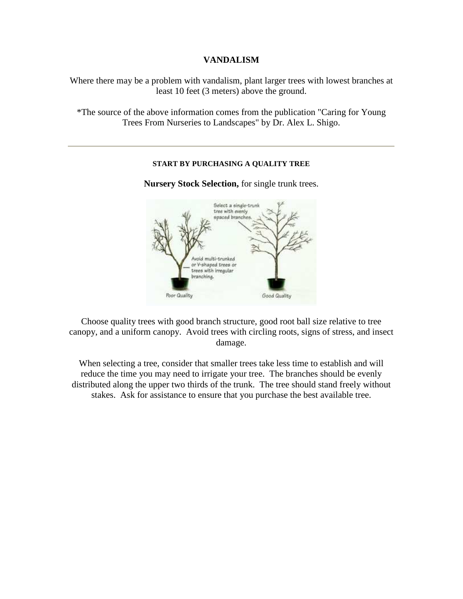### **VANDALISM**

Where there may be a problem with vandalism, plant larger trees with lowest branches at least 10 feet (3 meters) above the ground.

\*The source of the above information comes from the publication "Caring for Young Trees From Nurseries to Landscapes" by Dr. Alex L. Shigo.

### **START BY PURCHASING A QUALITY TREE**

**Nursery Stock Selection,** for single trunk trees.



Choose quality trees with good branch structure, good root ball size relative to tree canopy, and a uniform canopy. Avoid trees with circling roots, signs of stress, and insect damage.

When selecting a tree, consider that smaller trees take less time to establish and will reduce the time you may need to irrigate your tree. The branches should be evenly distributed along the upper two thirds of the trunk. The tree should stand freely without stakes. Ask for assistance to ensure that you purchase the best available tree.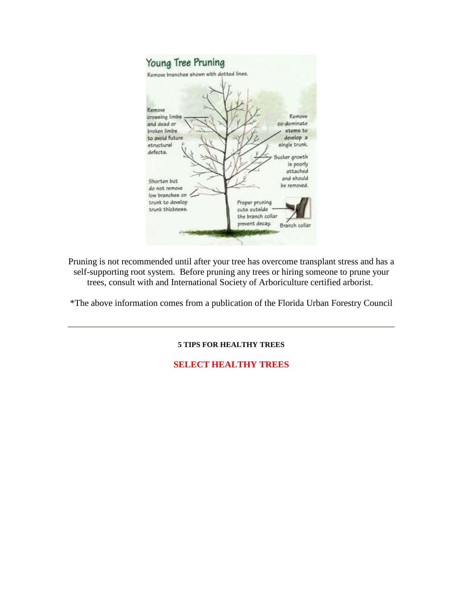

Pruning is not recommended until after your tree has overcome transplant stress and has a self-supporting root system. Before pruning any trees or hiring someone to prune your trees, consult with and International Society of Arboriculture certified arborist.

\*The above information comes from a publication of the Florida Urban Forestry Council

#### **5 TIPS FOR HEALTHY TREES**

### **SELECT HEALTHY TREES**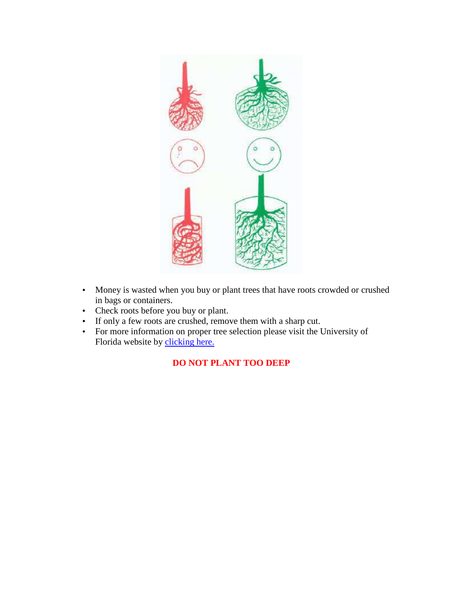

- Money is wasted when you buy or plant trees that have roots crowded or crushed in bags or containers.
- Check roots before you buy or plant.
- If only a few roots are crushed, remove them with a sharp cut.
- For more information on proper tree selection please visit the University of Florida website by clicking here.

# **DO NOT PLANT TOO DEEP**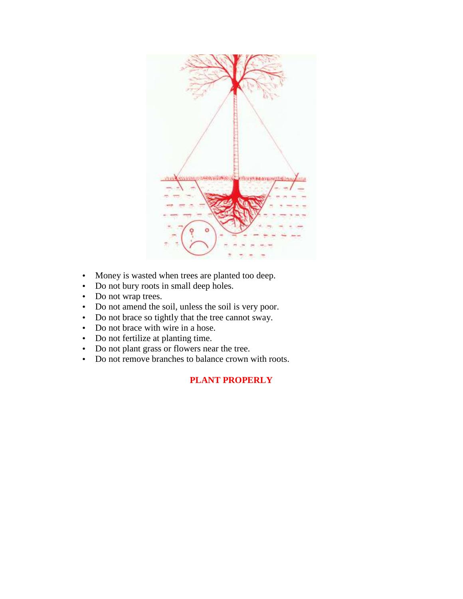

- Money is wasted when trees are planted too deep.
- Do not bury roots in small deep holes.
- Do not wrap trees.
- Do not amend the soil, unless the soil is very poor.
- Do not brace so tightly that the tree cannot sway.
- Do not brace with wire in a hose.
- Do not fertilize at planting time.
- Do not plant grass or flowers near the tree.
- Do not remove branches to balance crown with roots.

## **PLANT PROPERLY**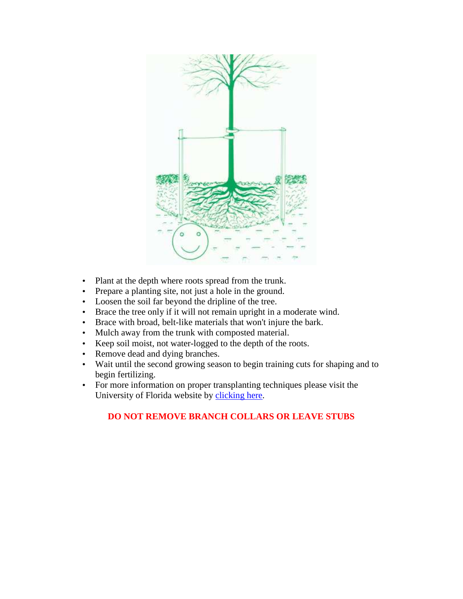

- Plant at the depth where roots spread from the trunk.
- Prepare a planting site, not just a hole in the ground.
- Loosen the soil far beyond the dripline of the tree.
- Brace the tree only if it will not remain upright in a moderate wind.
- Brace with broad, belt-like materials that won't injure the bark.
- Mulch away from the trunk with composted material.
- Keep soil moist, not water-logged to the depth of the roots.
- Remove dead and dying branches.
- Wait until the second growing season to begin training cuts for shaping and to begin fertilizing.
- For more information on proper transplanting techniques please visit the University of Florida website by clicking here.

## **DO NOT REMOVE BRANCH COLLARS OR LEAVE STUBS**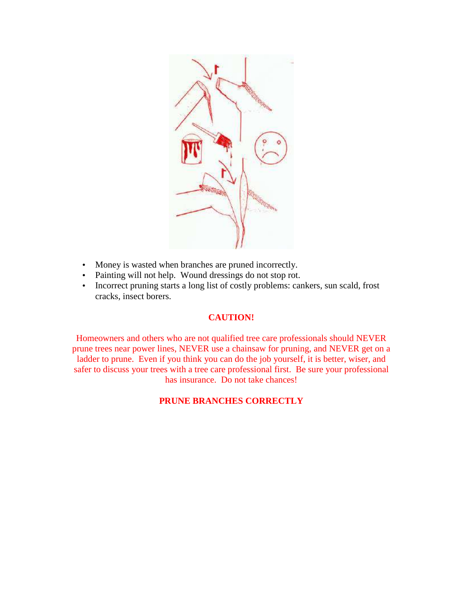

- Money is wasted when branches are pruned incorrectly.
- Painting will not help. Wound dressings do not stop rot.
- Incorrect pruning starts a long list of costly problems: cankers, sun scald, frost cracks, insect borers.

## **CAUTION!**

Homeowners and others who are not qualified tree care professionals should NEVER prune trees near power lines, NEVER use a chainsaw for pruning, and NEVER get on a ladder to prune. Even if you think you can do the job yourself, it is better, wiser, and safer to discuss your trees with a tree care professional first. Be sure your professional has insurance. Do not take chances!

## **PRUNE BRANCHES CORRECTLY**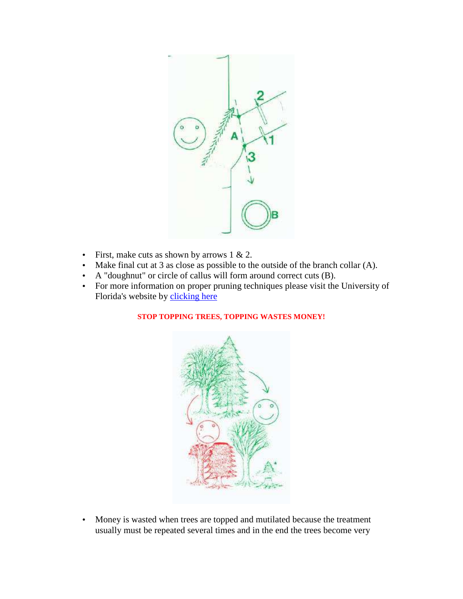

- First, make cuts as shown by arrows  $1 \& 2$ .
- Make final cut at 3 as close as possible to the outside of the branch collar (A).
- A "doughnut" or circle of callus will form around correct cuts (B).
- For more information on proper pruning techniques please visit the University of Florida's website by clicking here

### **STOP TOPPING TREES, TOPPING WASTES MONEY!**



• Money is wasted when trees are topped and mutilated because the treatment usually must be repeated several times and in the end the trees become very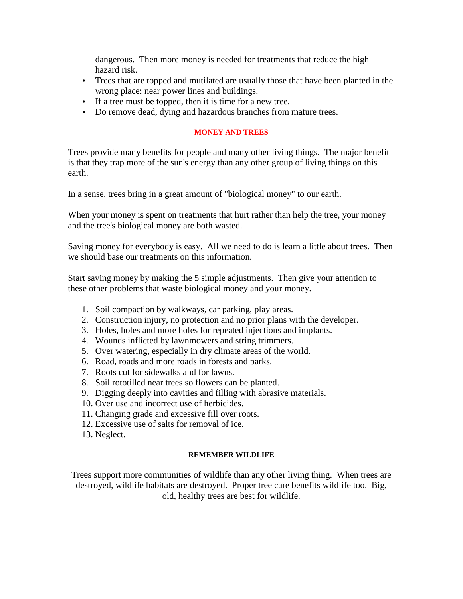dangerous. Then more money is needed for treatments that reduce the high hazard risk.

- Trees that are topped and mutilated are usually those that have been planted in the wrong place: near power lines and buildings.
- If a tree must be topped, then it is time for a new tree.
- Do remove dead, dying and hazardous branches from mature trees.

### **MONEY AND TREES**

Trees provide many benefits for people and many other living things. The major benefit is that they trap more of the sun's energy than any other group of living things on this earth.

In a sense, trees bring in a great amount of "biological money" to our earth.

When your money is spent on treatments that hurt rather than help the tree, your money and the tree's biological money are both wasted.

Saving money for everybody is easy. All we need to do is learn a little about trees. Then we should base our treatments on this information.

Start saving money by making the 5 simple adjustments. Then give your attention to these other problems that waste biological money and your money.

- 1. Soil compaction by walkways, car parking, play areas.
- 2. Construction injury, no protection and no prior plans with the developer.
- 3. Holes, holes and more holes for repeated injections and implants.
- 4. Wounds inflicted by lawnmowers and string trimmers.
- 5. Over watering, especially in dry climate areas of the world.
- 6. Road, roads and more roads in forests and parks.
- 7. Roots cut for sidewalks and for lawns.
- 8. Soil rototilled near trees so flowers can be planted.
- 9. Digging deeply into cavities and filling with abrasive materials.
- 10. Over use and incorrect use of herbicides.
- 11. Changing grade and excessive fill over roots.
- 12. Excessive use of salts for removal of ice.
- 13. Neglect.

#### **REMEMBER WILDLIFE**

Trees support more communities of wildlife than any other living thing. When trees are destroyed, wildlife habitats are destroyed. Proper tree care benefits wildlife too. Big, old, healthy trees are best for wildlife.